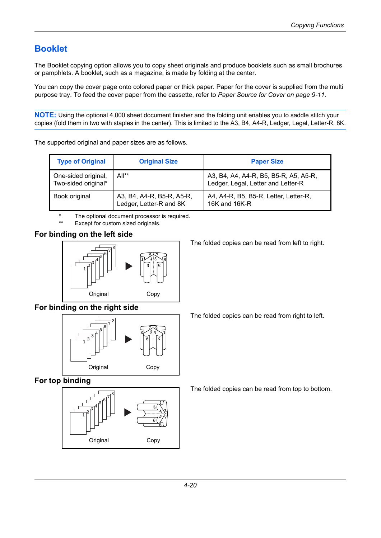## **Booklet**

The Booklet copying option allows you to copy sheet originals and produce booklets such as small brochures or pamphlets. A booklet, such as a magazine, is made by folding at the center.

You can copy the cover page onto colored paper or thick paper. Paper for the cover is supplied from the multi purpose tray. To feed the cover paper from the cassette, refer to *[Paper Source for Cover on page 9-11](#page--1-0)*.

**NOTE:** Using the optional 4,000 sheet document finisher and the folding unit enables you to saddle stitch your copies (fold them in two with staples in the center). This is limited to the A3, B4, A4-R, Ledger, Legal, Letter-R, 8K.

The supported original and paper sizes are as follows.

| <b>Type of Original</b>                    | <b>Original Size</b>                                 | <b>Paper Size</b>                                                           |
|--------------------------------------------|------------------------------------------------------|-----------------------------------------------------------------------------|
| One-sided original,<br>Two-sided original* | All**                                                | A3, B4, A4, A4-R, B5, B5-R, A5, A5-R,<br>Ledger, Legal, Letter and Letter-R |
| Book original                              | A3, B4, A4-R, B5-R, A5-R,<br>Ledger, Letter-R and 8K | A4, A4-R, B5, B5-R, Letter, Letter-R,<br>16K and 16K-R                      |

The optional document processor is required.

Except for custom sized originals.

## **For binding on the left side**



**For binding on the right side**



**For top binding**



The folded copies can be read from left to right.

The folded copies can be read from right to left.

The folded copies can be read from top to bottom.